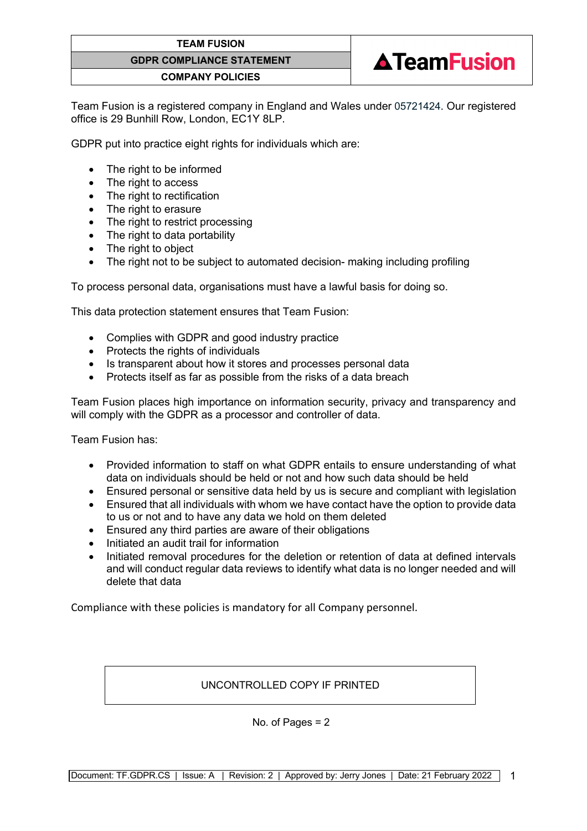#### **TEAM FUSION**

## **GDPR COMPLIANCE STATEMENT**

#### **COMPANY POLICIES**

Team Fusion is a registered company in England and Wales under 05721424. Our registered office is 29 Bunhill Row, London, EC1Y 8LP.

**ATeamFusion** 

GDPR put into practice eight rights for individuals which are:

- The right to be informed
- The right to access
- The right to rectification
- The right to erasure
- The right to restrict processing
- The right to data portability
- The right to object
- The right not to be subject to automated decision- making including profiling

To process personal data, organisations must have a lawful basis for doing so.

This data protection statement ensures that Team Fusion:

- Complies with GDPR and good industry practice
- Protects the rights of individuals
- Is transparent about how it stores and processes personal data
- Protects itself as far as possible from the risks of a data breach

Team Fusion places high importance on information security, privacy and transparency and will comply with the GDPR as a processor and controller of data.

Team Fusion has:

- Provided information to staff on what GDPR entails to ensure understanding of what data on individuals should be held or not and how such data should be held
- Ensured personal or sensitive data held by us is secure and compliant with legislation
- Ensured that all individuals with whom we have contact have the option to provide data to us or not and to have any data we hold on them deleted
- Ensured any third parties are aware of their obligations
- Initiated an audit trail for information
- Initiated removal procedures for the deletion or retention of data at defined intervals and will conduct regular data reviews to identify what data is no longer needed and will delete that data

Compliance with these policies is mandatory for all Company personnel.

## UNCONTROLLED COPY IF PRINTED

No. of Pages = 2